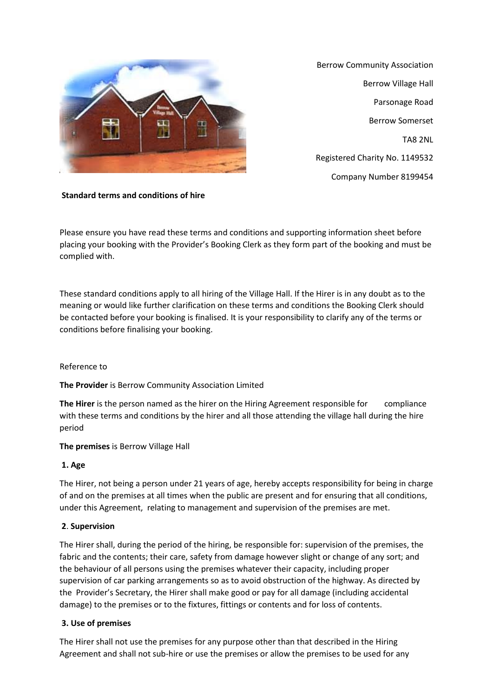

Berrow Community Association Berrow Village Hall Parsonage Road Berrow Somerset TA8 2NL Registered Charity No. 1149532 Company Number 8199454

## **Standard terms and conditions of hire**

Please ensure you have read these terms and conditions and supporting information sheet before placing your booking with the Provider's Booking Clerk as they form part of the booking and must be complied with.

These standard conditions apply to all hiring of the Village Hall. If the Hirer is in any doubt as to the meaning or would like further clarification on these terms and conditions the Booking Clerk should be contacted before your booking is finalised. It is your responsibility to clarify any of the terms or conditions before finalising your booking.

#### Reference to

**The Provider** is Berrow Community Association Limited

**The Hirer** is the person named as the hirer on the Hiring Agreement responsible for compliance with these terms and conditions by the hirer and all those attending the village hall during the hire period

#### **The premises** is Berrow Village Hall

#### **1. Age**

The Hirer, not being a person under 21 years of age, hereby accepts responsibility for being in charge of and on the premises at all times when the public are present and for ensuring that all conditions, under this Agreement, relating to management and supervision of the premises are met.

#### **2**. **Supervision**

The Hirer shall, during the period of the hiring, be responsible for: supervision of the premises, the fabric and the contents; their care, safety from damage however slight or change of any sort; and the behaviour of all persons using the premises whatever their capacity, including proper supervision of car parking arrangements so as to avoid obstruction of the highway. As directed by the Provider's Secretary, the Hirer shall make good or pay for all damage (including accidental damage) to the premises or to the fixtures, fittings or contents and for loss of contents.

#### **3. Use of premises**

The Hirer shall not use the premises for any purpose other than that described in the Hiring Agreement and shall not sub-hire or use the premises or allow the premises to be used for any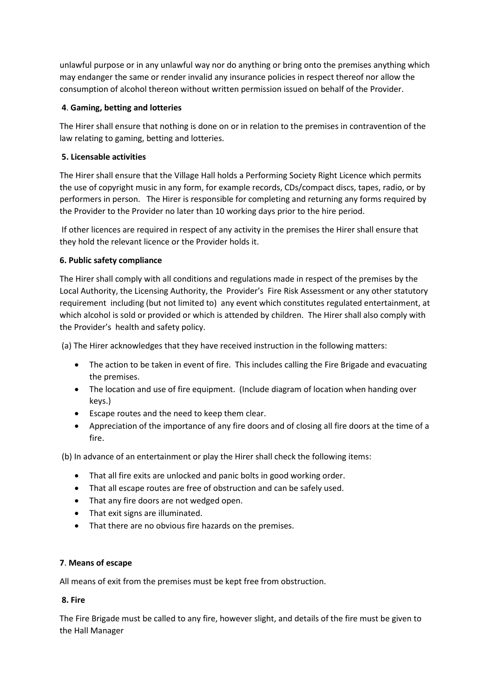unlawful purpose or in any unlawful way nor do anything or bring onto the premises anything which may endanger the same or render invalid any insurance policies in respect thereof nor allow the consumption of alcohol thereon without written permission issued on behalf of the Provider.

# **4**. **Gaming, betting and lotteries**

The Hirer shall ensure that nothing is done on or in relation to the premises in contravention of the law relating to gaming, betting and lotteries.

# **5. Licensable activities**

The Hirer shall ensure that the Village Hall holds a Performing Society Right Licence which permits the use of copyright music in any form, for example records, CDs/compact discs, tapes, radio, or by performers in person. The Hirer is responsible for completing and returning any forms required by the Provider to the Provider no later than 10 working days prior to the hire period.

If other licences are required in respect of any activity in the premises the Hirer shall ensure that they hold the relevant licence or the Provider holds it.

# **6. Public safety compliance**

The Hirer shall comply with all conditions and regulations made in respect of the premises by the Local Authority, the Licensing Authority, the Provider's Fire Risk Assessment or any other statutory requirement including (but not limited to) any event which constitutes regulated entertainment, at which alcohol is sold or provided or which is attended by children. The Hirer shall also comply with the Provider's health and safety policy.

(a) The Hirer acknowledges that they have received instruction in the following matters:

- The action to be taken in event of fire. This includes calling the Fire Brigade and evacuating the premises.
- The location and use of fire equipment. (Include diagram of location when handing over keys.)
- Escape routes and the need to keep them clear.
- Appreciation of the importance of any fire doors and of closing all fire doors at the time of a fire.

(b) In advance of an entertainment or play the Hirer shall check the following items:

- That all fire exits are unlocked and panic bolts in good working order.
- That all escape routes are free of obstruction and can be safely used.
- That any fire doors are not wedged open.
- That exit signs are illuminated.
- That there are no obvious fire hazards on the premises.

## **7**. **Means of escape**

All means of exit from the premises must be kept free from obstruction.

## **8. Fire**

The Fire Brigade must be called to any fire, however slight, and details of the fire must be given to the Hall Manager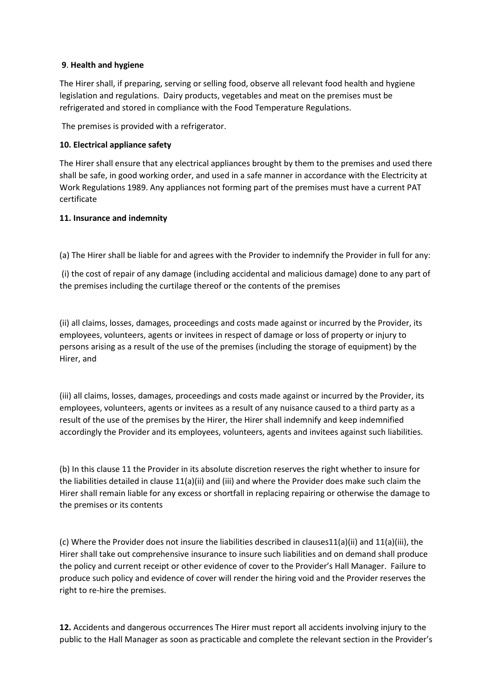## **9**. **Health and hygiene**

The Hirer shall, if preparing, serving or selling food, observe all relevant food health and hygiene legislation and regulations. Dairy products, vegetables and meat on the premises must be refrigerated and stored in compliance with the Food Temperature Regulations.

The premises is provided with a refrigerator.

### **10. Electrical appliance safety**

The Hirer shall ensure that any electrical appliances brought by them to the premises and used there shall be safe, in good working order, and used in a safe manner in accordance with the Electricity at Work Regulations 1989. Any appliances not forming part of the premises must have a current PAT certificate

### **11. Insurance and indemnity**

(a) The Hirer shall be liable for and agrees with the Provider to indemnify the Provider in full for any:

(i) the cost of repair of any damage (including accidental and malicious damage) done to any part of the premises including the curtilage thereof or the contents of the premises

(ii) all claims, losses, damages, proceedings and costs made against or incurred by the Provider, its employees, volunteers, agents or invitees in respect of damage or loss of property or injury to persons arising as a result of the use of the premises (including the storage of equipment) by the Hirer, and

(iii) all claims, losses, damages, proceedings and costs made against or incurred by the Provider, its employees, volunteers, agents or invitees as a result of any nuisance caused to a third party as a result of the use of the premises by the Hirer, the Hirer shall indemnify and keep indemnified accordingly the Provider and its employees, volunteers, agents and invitees against such liabilities.

(b) In this clause 11 the Provider in its absolute discretion reserves the right whether to insure for the liabilities detailed in clause 11(a)(ii) and (iii) and where the Provider does make such claim the Hirer shall remain liable for any excess or shortfall in replacing repairing or otherwise the damage to the premises or its contents

(c) Where the Provider does not insure the liabilities described in clauses11(a)(ii) and 11(a)(iii), the Hirer shall take out comprehensive insurance to insure such liabilities and on demand shall produce the policy and current receipt or other evidence of cover to the Provider's Hall Manager. Failure to produce such policy and evidence of cover will render the hiring void and the Provider reserves the right to re-hire the premises.

**12.** Accidents and dangerous occurrences The Hirer must report all accidents involving injury to the public to the Hall Manager as soon as practicable and complete the relevant section in the Provider's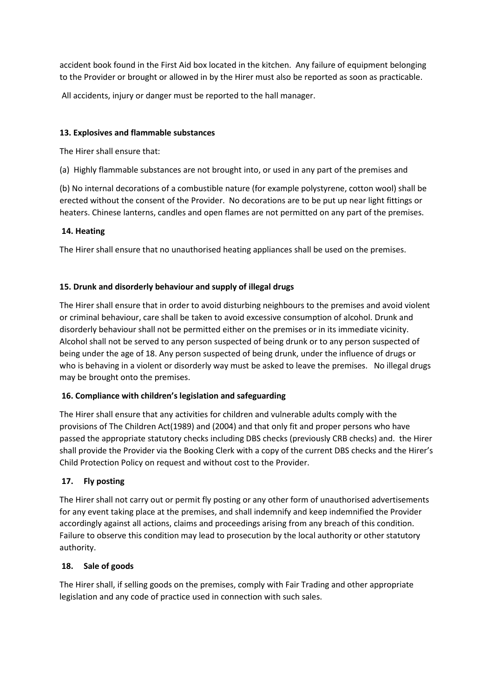accident book found in the First Aid box located in the kitchen. Any failure of equipment belonging to the Provider or brought or allowed in by the Hirer must also be reported as soon as practicable.

All accidents, injury or danger must be reported to the hall manager.

## **13. Explosives and flammable substances**

The Hirer shall ensure that:

(a) Highly flammable substances are not brought into, or used in any part of the premises and

(b) No internal decorations of a combustible nature (for example polystyrene, cotton wool) shall be erected without the consent of the Provider. No decorations are to be put up near light fittings or heaters. Chinese lanterns, candles and open flames are not permitted on any part of the premises.

# **14. Heating**

The Hirer shall ensure that no unauthorised heating appliances shall be used on the premises.

# **15. Drunk and disorderly behaviour and supply of illegal drugs**

The Hirer shall ensure that in order to avoid disturbing neighbours to the premises and avoid violent or criminal behaviour, care shall be taken to avoid excessive consumption of alcohol. Drunk and disorderly behaviour shall not be permitted either on the premises or in its immediate vicinity. Alcohol shall not be served to any person suspected of being drunk or to any person suspected of being under the age of 18. Any person suspected of being drunk, under the influence of drugs or who is behaving in a violent or disorderly way must be asked to leave the premises. No illegal drugs may be brought onto the premises.

## **16. Compliance with children's legislation and safeguarding**

The Hirer shall ensure that any activities for children and vulnerable adults comply with the provisions of The Children Act(1989) and (2004) and that only fit and proper persons who have passed the appropriate statutory checks including DBS checks (previously CRB checks) and. the Hirer shall provide the Provider via the Booking Clerk with a copy of the current DBS checks and the Hirer's Child Protection Policy on request and without cost to the Provider.

# **17. Fly posting**

The Hirer shall not carry out or permit fly posting or any other form of unauthorised advertisements for any event taking place at the premises, and shall indemnify and keep indemnified the Provider accordingly against all actions, claims and proceedings arising from any breach of this condition. Failure to observe this condition may lead to prosecution by the local authority or other statutory authority.

## **18. Sale of goods**

The Hirer shall, if selling goods on the premises, comply with Fair Trading and other appropriate legislation and any code of practice used in connection with such sales.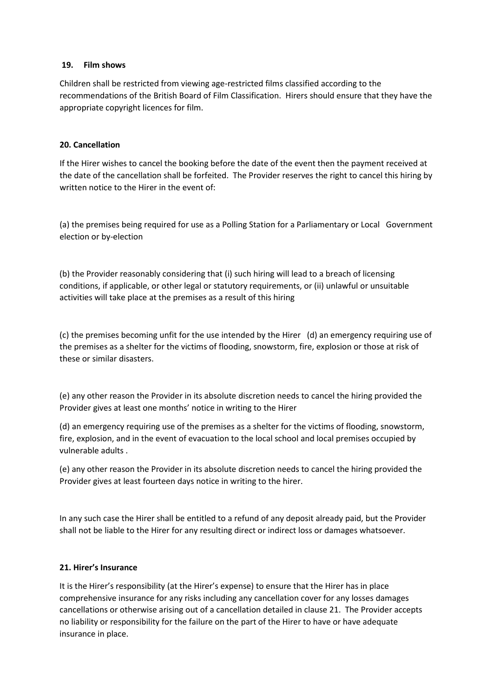#### **19. Film shows**

Children shall be restricted from viewing age-restricted films classified according to the recommendations of the British Board of Film Classification. Hirers should ensure that they have the appropriate copyright licences for film.

## **20. Cancellation**

If the Hirer wishes to cancel the booking before the date of the event then the payment received at the date of the cancellation shall be forfeited. The Provider reserves the right to cancel this hiring by written notice to the Hirer in the event of:

(a) the premises being required for use as a Polling Station for a Parliamentary or Local Government election or by-election

(b) the Provider reasonably considering that (i) such hiring will lead to a breach of licensing conditions, if applicable, or other legal or statutory requirements, or (ii) unlawful or unsuitable activities will take place at the premises as a result of this hiring

(c) the premises becoming unfit for the use intended by the Hirer (d) an emergency requiring use of the premises as a shelter for the victims of flooding, snowstorm, fire, explosion or those at risk of these or similar disasters.

(e) any other reason the Provider in its absolute discretion needs to cancel the hiring provided the Provider gives at least one months' notice in writing to the Hirer

(d) an emergency requiring use of the premises as a shelter for the victims of flooding, snowstorm, fire, explosion, and in the event of evacuation to the local school and local premises occupied by vulnerable adults .

(e) any other reason the Provider in its absolute discretion needs to cancel the hiring provided the Provider gives at least fourteen days notice in writing to the hirer.

In any such case the Hirer shall be entitled to a refund of any deposit already paid, but the Provider shall not be liable to the Hirer for any resulting direct or indirect loss or damages whatsoever.

#### **21. Hirer's Insurance**

It is the Hirer's responsibility (at the Hirer's expense) to ensure that the Hirer has in place comprehensive insurance for any risks including any cancellation cover for any losses damages cancellations or otherwise arising out of a cancellation detailed in clause 21. The Provider accepts no liability or responsibility for the failure on the part of the Hirer to have or have adequate insurance in place.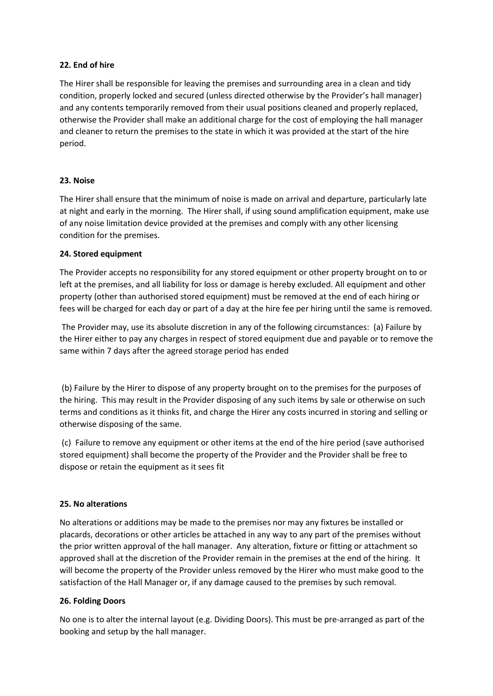### **22. End of hire**

The Hirer shall be responsible for leaving the premises and surrounding area in a clean and tidy condition, properly locked and secured (unless directed otherwise by the Provider's hall manager) and any contents temporarily removed from their usual positions cleaned and properly replaced, otherwise the Provider shall make an additional charge for the cost of employing the hall manager and cleaner to return the premises to the state in which it was provided at the start of the hire period.

### **23. Noise**

The Hirer shall ensure that the minimum of noise is made on arrival and departure, particularly late at night and early in the morning. The Hirer shall, if using sound amplification equipment, make use of any noise limitation device provided at the premises and comply with any other licensing condition for the premises.

### **24. Stored equipment**

The Provider accepts no responsibility for any stored equipment or other property brought on to or left at the premises, and all liability for loss or damage is hereby excluded. All equipment and other property (other than authorised stored equipment) must be removed at the end of each hiring or fees will be charged for each day or part of a day at the hire fee per hiring until the same is removed.

The Provider may, use its absolute discretion in any of the following circumstances: (a) Failure by the Hirer either to pay any charges in respect of stored equipment due and payable or to remove the same within 7 days after the agreed storage period has ended

(b) Failure by the Hirer to dispose of any property brought on to the premises for the purposes of the hiring. This may result in the Provider disposing of any such items by sale or otherwise on such terms and conditions as it thinks fit, and charge the Hirer any costs incurred in storing and selling or otherwise disposing of the same.

(c) Failure to remove any equipment or other items at the end of the hire period (save authorised stored equipment) shall become the property of the Provider and the Provider shall be free to dispose or retain the equipment as it sees fit

#### **25. No alterations**

No alterations or additions may be made to the premises nor may any fixtures be installed or placards, decorations or other articles be attached in any way to any part of the premises without the prior written approval of the hall manager. Any alteration, fixture or fitting or attachment so approved shall at the discretion of the Provider remain in the premises at the end of the hiring. It will become the property of the Provider unless removed by the Hirer who must make good to the satisfaction of the Hall Manager or, if any damage caused to the premises by such removal.

#### **26. Folding Doors**

No one is to alter the internal layout (e.g. Dividing Doors). This must be pre-arranged as part of the booking and setup by the hall manager.